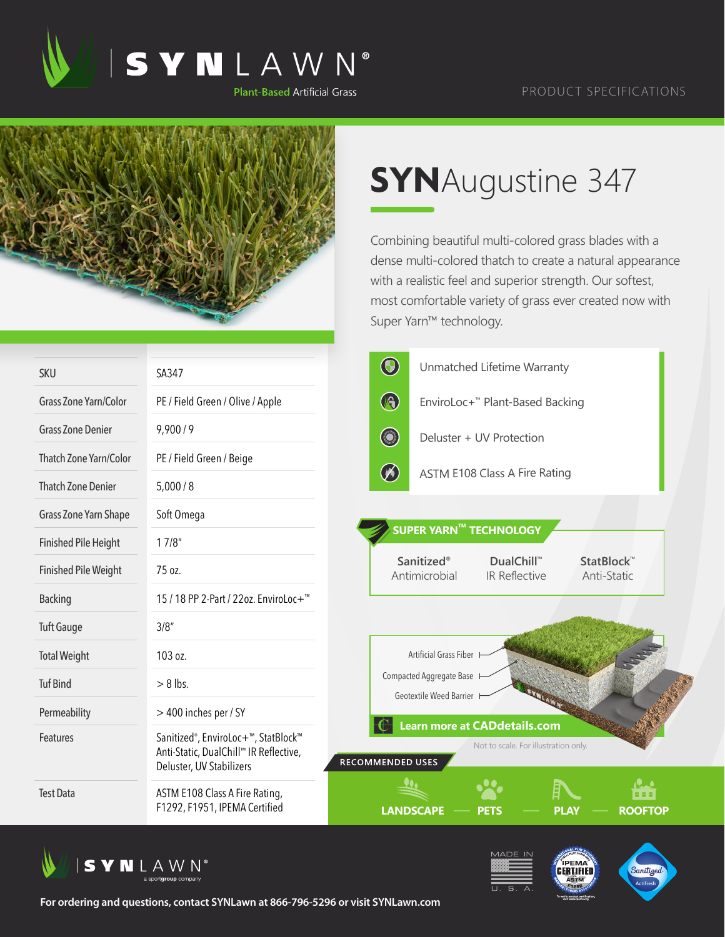



## **SYN**Augustine 347

Combining beautiful multi-colored grass blades with a dense multi-colored thatch to create a natural appearance with a realistic feel and superior strength. Our softest, most comfortable variety of grass ever created now with Super Yarn™ technology.

| <b>SKU</b>                    | SA347                                                                                                                               | $\bigcirc$<br>Unmatched Lifetime Warranty                                                                  |
|-------------------------------|-------------------------------------------------------------------------------------------------------------------------------------|------------------------------------------------------------------------------------------------------------|
| Grass Zone Yarn/Color         | PE / Field Green / Olive / Apple                                                                                                    | $\bigcirc$<br>EnviroLoc+ <sup>™</sup> Plant-Based Backing                                                  |
| <b>Grass Zone Denier</b>      | 9,900/9                                                                                                                             | <b>County</b><br>Deluster + UV Protection                                                                  |
| <b>Thatch Zone Yarn/Color</b> | PE / Field Green / Beige                                                                                                            |                                                                                                            |
| <b>Thatch Zone Denier</b>     | 5,000/8                                                                                                                             | $\circledast$<br><b>ASTM E108 Class A Fire Rating</b>                                                      |
| Grass Zone Yarn Shape         | Soft Omega                                                                                                                          |                                                                                                            |
| <b>Finished Pile Height</b>   | 17/8"                                                                                                                               | SUPER YARN™ TECHNOLOGY                                                                                     |
| <b>Finished Pile Weight</b>   | 75 oz.                                                                                                                              | Sanitized <sup>®</sup><br>DualChill™<br>StatBlock™<br>Antimicrobial<br><b>IR Reflective</b><br>Anti-Static |
| <b>Backing</b>                | 15 / 18 PP 2-Part / 22oz. EnviroLoc+ <sup>™</sup>                                                                                   |                                                                                                            |
| <b>Tuft Gauge</b>             | 3/8''                                                                                                                               |                                                                                                            |
| <b>Total Weight</b>           | 103 oz.                                                                                                                             | Artificial Grass Fiber                                                                                     |
| <b>Tuf Bind</b>               | $> 8$ lbs.                                                                                                                          | Compacted Aggregate Base<br>Geotextile Weed Barrier                                                        |
| Permeability                  | > 400 inches per / SY                                                                                                               | Learn more at CADdetails.com                                                                               |
| Features                      | Sanitized <sup>®</sup> , EnviroLoc+ <sup>™</sup> , StatBlock™<br>Anti-Static, DualChill™ IR Reflective,<br>Deluster, UV Stabilizers | Not to scale. For illustration only.<br><b>RECOMMENDED USES</b>                                            |
| <b>Test Data</b>              | ASTM E108 Class A Fire Rating,<br>F1292, F1951, IPEMA Certified                                                                     | 18 B<br><b>LANDSCAPE</b><br><b>ROOFTOP</b><br>PLAY                                                         |







**For ordering and questions, contact SYNLawn at 866-796-5296 or visit SYNLawn.com**